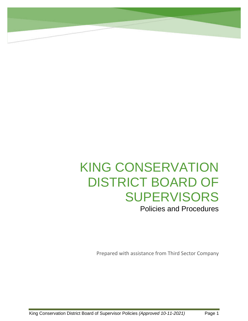# KING CONSERVATION DISTRICT BOARD OF SUPERVISORS

Policies and Procedures

Prepared with assistance from Third Sector Company

**Policy Type: Governance Culture**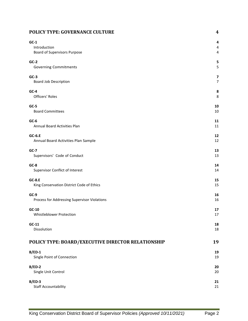### **POLICY TYPE: GOVERNANCE CULTURE 4**

| $GC-1$                                             | 4  |
|----------------------------------------------------|----|
| Introduction                                       | 4  |
| Board of Supervisors Purpose                       | 4  |
| $GC-2$                                             | 5  |
| <b>Governing Commitments</b>                       | 5  |
| $GC-3$                                             | 7  |
| Board Job Description                              | 7  |
| $GC-4$                                             | 8  |
| Officers' Roles                                    | 8  |
| $GC-5$                                             | 10 |
| <b>Board Committees</b>                            | 10 |
| $GC-6$                                             | 11 |
| Annual Board Activities Plan                       | 11 |
| $GC-6.E$                                           | 12 |
| Annual Board Activities Plan Sample                | 12 |
| $GC-7$                                             | 13 |
| Supervisors' Code of Conduct                       | 13 |
| $GC-8$                                             | 14 |
| Supervisor Conflict of Interest                    | 14 |
| <b>GC-8.E</b>                                      | 15 |
| King Conservation District Code of Ethics          | 15 |
| $GC-9$                                             | 16 |
| Process for Addressing Supervisor Violations       | 16 |
| $GC-10$                                            | 17 |
| Whistleblower Protection                           | 17 |
| $GC-11$                                            | 18 |
| Dissolution                                        | 18 |
| POLICY TYPE: BOARD/EXECUTIVE DIRECTOR RELATIONSHIP | 19 |
| $B/ED-1$                                           | 19 |
| Single Point of Connection                         | 19 |
| $B/ED-2$                                           | 20 |
| Single Unit Control                                | 20 |
| $B/ED-3$                                           | 21 |
| <b>Staff Accountability</b>                        | 21 |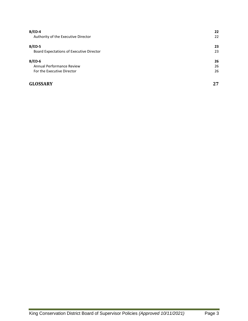| $B/ED-4$                                 | 22 |
|------------------------------------------|----|
| Authority of the Executive Director      | 22 |
| $B/ED-5$                                 | 23 |
| Board Expectations of Executive Director | 23 |
| $B/ED-6$                                 | 26 |
| Annual Performance Review                | 26 |
| For the Executive Director               | 26 |
| <b>GLOSSARY</b>                          | 27 |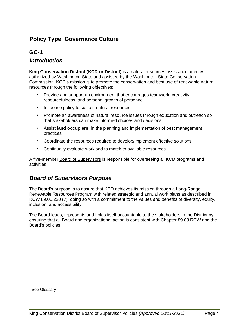# **GC-1**

### *Introduction*

**King Conservation District (KCD or District)** is a natural resources assistance agency authorized by [Washington State](https://access.wa.gov/) and assisted by the [Washington State Conservation](https://scc.wa.gov/)  [Commission.](https://scc.wa.gov/) KCD's mission is to promote the conservation and best use of renewable natural resources through the following objectives:

- Provide and support an environment that encourages teamwork, creativity, resourcefulness, and personal growth of personnel.
- Influence policy to sustain natural resources.
- Promote an awareness of natural resource issues through education and outreach so that stakeholders can make informed choices and decisions.
- Assist **land occupiers**<sup>1</sup> in the planning and implementation of best management practices.
- Coordinate the resources required to develop/implement effective solutions.
- Continually evaluate workload to match to available resources.

A five-member [Board of Supervisors](http://kingcd.org/about/board-of-supervisors/) is responsible for overseeing all KCD programs and activities.

# *Board of Supervisors Purpose*

The Board's purpose is to assure that KCD achieves its mission through a Long-Range Renewable Resources Program with related strategic and annual work plans as described in RCW 89.08.220 (7), doing so with a commitment to the values and benefits of diversity, equity, inclusion, and accessibility.

The Board leads, represents and holds itself accountable to the stakeholders in the District by ensuring that all Board and organizational action is consistent with Chapter 89.08 RCW and the Board's policies.

<sup>&</sup>lt;sup>1</sup> See Glossary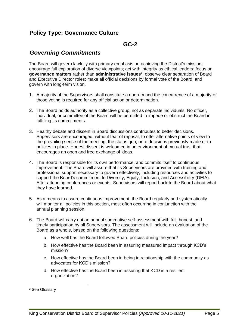### **GC-2**

### *Governing Commitments*

The Board will govern lawfully with primary emphasis on achieving the District's mission; encourage full exploration of diverse viewpoints; act with integrity as ethical leaders; focus on **governance matters** rather than **administrative issues<sup>2</sup>** ; observe clear separation of Board and Executive Director roles; make all official decisions by formal vote of the Board; and govern with long-term vision.

- 1. A majority of the Supervisors shall constitute a quorum and the concurrence of a majority of those voting is required for any official action or determination.
- 2. The Board holds authority as a collective group, not as separate individuals. No officer, individual, or committee of the Board will be permitted to impede or obstruct the Board in fulfilling its commitments.
- 3. Healthy debate and dissent in Board discussions contributes to better decisions. Supervisors are encouraged, without fear of reprisal, to offer alternative points of view to the prevailing sense of the meeting, the status quo, or to decisions previously made or to policies in place. Honest dissent is welcomed in an environment of mutual trust that encourages an open and free exchange of ideas.
- 4. The Board is responsible for its own performance, and commits itself to continuous improvement. The Board will assure that its Supervisors are provided with training and professional support necessary to govern effectively, including resources and activities to support the Board's commitment to Diversity, Equity, Inclusion, and Accessibility (DEIA). After attending conferences or events, Supervisors will report back to the Board about what they have learned.
- 5. As a means to assure continuous improvement, the Board regularly and systematically will monitor all policies in this section, most often occurring in conjunction with the annual planning session.
- 6. The Board will carry out an annual summative self-assessment with full, honest, and timely participation by all Supervisors. The assessment will include an evaluation of the Board as a whole, based on the following questions:
	- a. How well has the Board followed Board policies during the year?
	- b. How effective has the Board been in assuring measured impact through KCD's mission?
	- c. How effective has the Board been in being in relationship with the community as advocates for KCD's mission?
	- d. How effective has the Board been in assuring that KCD is a resilient organization?

<sup>2</sup> See Glossary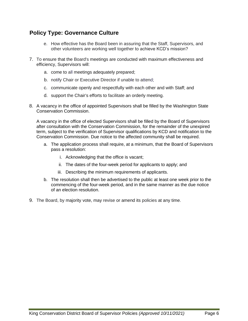- e. How effective has the Board been in assuring that the Staff, Supervisors, and other volunteers are working well together to achieve KCD's mission?
- 7. To ensure that the Board's meetings are conducted with maximum effectiveness and efficiency, Supervisors will:
	- a. come to all meetings adequately prepared;
	- b. notify Chair or Executive Director if unable to attend;
	- c. communicate openly and respectfully with each other and with Staff; and
	- d. support the Chair's efforts to facilitate an orderly meeting.
- 8. A vacancy in the office of appointed Supervisors shall be filled by the Washington State Conservation Commission.

A vacancy in the office of elected Supervisors shall be filled by the Board of Supervisors after consultation with the Conservation Commission, for the remainder of the unexpired term, subject to the verification of Supervisor qualifications by KCD and notification to the Conservation Commission. Due notice to the affected community shall be required.

- a. The application process shall require, at a minimum, that the Board of Supervisors pass a resolution:
	- i. Acknowledging that the office is vacant;
	- ii. The dates of the four-week period for applicants to apply; and
	- iii. Describing the minimum requirements of applicants.
- b. The resolution shall then be advertised to the public at least one week prior to the commencing of the four-week period, and in the same manner as the due notice of an election resolution.
- 9. The Board, by majority vote, may revise or amend its policies at any time.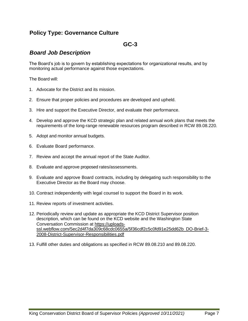### **GC-3**

### *Board Job Description*

The Board's job is to govern by establishing expectations for organizational results, and by monitoring actual performance against those expectations.

The Board will:

- 1. Advocate for the District and its mission.
- 2. Ensure that proper policies and procedures are developed and upheld.
- 3. Hire and support the Executive Director, and evaluate their performance.
- 4. Develop and approve the KCD strategic plan and related annual work plans that meets the requirements of the long-range renewable resources program described in RCW 89.08.220.
- 5. Adopt and monitor annual budgets.
- 6. Evaluate Board performance.
- 7. Review and accept the annual report of the State Auditor.
- 8. Evaluate and approve proposed rates/assessments.
- 9. Evaluate and approve Board contracts, including by delegating such responsibility to the Executive Director as the Board may choose.
- 10. Contract independently with legal counsel to support the Board in its work.
- 11. Review reports of investment activities.
- 12. Periodically review and update as appropriate the KCD District Supervisor position description, which can be found on the KCD website and the Washington State Conversation Commission at [https://uploads](https://uploads-ssl.webflow.com/5ec2d4f7da309c68cdc0655a/5f36cdf2c5c0fd91e25dd62b_DO-Brief-3-2008-District-Supervisor-Responsibilities.pdf)[ssl.webflow.com/5ec2d4f7da309c68cdc0655a/5f36cdf2c5c0fd91e25dd62b\\_DO-Brief-3-](https://uploads-ssl.webflow.com/5ec2d4f7da309c68cdc0655a/5f36cdf2c5c0fd91e25dd62b_DO-Brief-3-2008-District-Supervisor-Responsibilities.pdf) [2008-District-Supervisor-Responsibilities.pdf](https://uploads-ssl.webflow.com/5ec2d4f7da309c68cdc0655a/5f36cdf2c5c0fd91e25dd62b_DO-Brief-3-2008-District-Supervisor-Responsibilities.pdf)
- 13. Fulfill other duties and obligations as specified in RCW 89.08.210 and 89.08.220.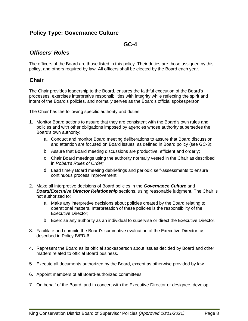### **GC-4**

# *Officers' Roles*

The officers of the Board are those listed in this policy. Their duties are those assigned by this policy, and others required by law. All officers shall be elected by the Board each year.

### **Chair**

The Chair provides leadership to the Board, ensures the faithful execution of the Board's processes, exercises interpretive responsibilities with integrity while reflecting the spirit and intent of the Board's policies, and normally serves as the Board's official spokesperson.

The Chair has the following specific authority and duties:

- 1. Monitor Board actions to assure that they are consistent with the Board's own rules and policies and with other obligations imposed by agencies whose authority supersedes the Board's own authority:
	- a. Conduct and monitor Board meeting deliberations to assure that Board discussion and attention are focused on Board issues, as defined in Board policy (see GC-3);
	- b. Assure that Board meeting discussions are productive, efficient and orderly;
	- c. Chair Board meetings using the authority normally vested in the Chair as described in *Robert's Rules of Order;*
	- d. Lead timely Board meeting debriefings and periodic self-assessments to ensure continuous process improvement.
- 2. Make all interpretive decisions of Board policies in the *Governance Culture* and *Board/Executive Director Relationship* sections, using reasonable judgment. The Chair is not authorized to:
	- a. Make any interpretive decisions about policies created by the Board relating to operational matters. Interpretation of these policies is the responsibility of the Executive Director;
	- b. Exercise any authority as an individual to supervise or direct the Executive Director.
- 3. Facilitate and compile the Board's summative evaluation of the Executive Director, as described in Policy B/ED-6.
- 4. Represent the Board as its official spokesperson about issues decided by Board and other matters related to official Board business.
- 5. Execute all documents authorized by the Board, except as otherwise provided by law.
- 6. Appoint members of all Board-authorized committees.
- 7. On behalf of the Board, and in concert with the Executive Director or designee, develop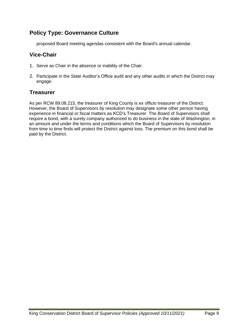proposed Board meeting agendas consistent with the Board's annual calendar.

### **Vice-Chair**

- 1. Serve as Chair in the absence or inability of the Chair.
- 2. Participate in the State Auditor's Office audit and any other audits in which the District may engage.

### **Treasurer**

As per RCW 89.08.215, the treasurer of King County is ex officio treasurer of the District. However, the Board of Supervisors by resolution may designate some other person having experience in financial or fiscal matters as KCD's Treasurer. The Board of Supervisors shall require a bond, with a surety company authorized to do business in the state of Washington, in an amount and under the terms and conditions which the Board of Supervisors by resolution from time to time finds will protect the District against loss. The premium on this bond shall be paid by the District.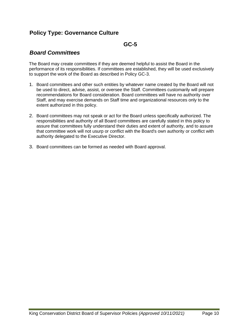### **GC-5**

### *Board Committees*

The Board may create committees if they are deemed helpful to assist the Board in the performance of its responsibilities. If committees are established, they will be used exclusively to support the work of the Board as described in Policy GC-3.

- 1. Board committees and other such entities by whatever name created by the Board will not be used to direct, advise, assist, or oversee the Staff. Committees customarily will prepare recommendations for Board consideration. Board committees will have no authority over Staff, and may exercise demands on Staff time and organizational resources only to the extent authorized in this policy.
- 2. Board committees may not speak or act for the Board unless specifically authorized. The responsibilities and authority of all Board committees are carefully stated in this policy to assure that committees fully understand their duties and extent of authority, and to assure that committee work will not usurp or conflict with the Board's own authority or conflict with authority delegated to the Executive Director.
- 3. Board committees can be formed as needed with Board approval.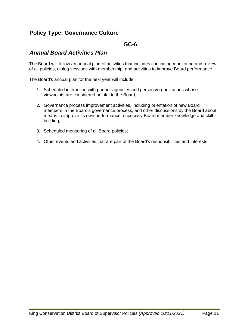### **GC-6**

### *Annual Board Activities Plan*

The Board will follow an annual plan of activities that includes continuing monitoring and review of all policies, dialog sessions with membership, and activities to improve Board performance.

The Board's annual plan for the next year will include:

- 1. Scheduled interaction with partner agencies and persons/organizations whose viewpoints are considered helpful to the Board;
- 2. Governance process improvement activities, including orientation of new Board members in the Board's governance process, and other discussions by the Board about means to improve its own performance, especially Board member knowledge and skillbuilding;
- 3. Scheduled monitoring of all Board policies;
- 4. Other events and activities that are part of the Board's responsibilities and interests.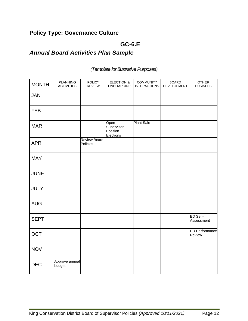# **GC-6.E**

# *Annual Board Activities Plan Sample*

#### MONTH **PLANNING ACTIVITIES** POLICY REVIEW ELECTION & ONBOARDING COMMUNITY INTERACTIONS BOARD DEVELOPMENT OTHER BUSINESS JAN FEB MAR Open **Supervisor** Position **Elections** Plant Sale APR Review Board Policies MAY JUNE JULY AUG SEPT ED Self-Assessment OCT ED Performance Review NOV DEC Approve annual budget

### *(Template for Illustrative Purposes)*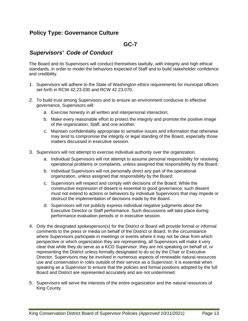### **GC-7**

### *Supervisors' Code of Conduct*

The Board and its Supervisors will conduct themselves lawfully, with integrity and high ethical standards, in order to model the behaviors expected of Staff and to build stakeholder confidence and credibility.

- 1. Supervisors will adhere to the State of Washington ethics requirements for municipal officers set forth in RCW 42.23.030 and RCW 42.23.070.
- 2. To build trust among Supervisors and to ensure an environment conducive to effective governance, Supervisors will:
	- a. Exercise honesty in all written and interpersonal interaction;
	- b. Make every reasonable effort to protect the integrity and promote the positive image of the organization, Staff, and one another;
	- c. Maintain confidentiality appropriate to sensitive issues and information that otherwise may tend to compromise the integrity or legal standing of the Board, especially those matters discussed in executive session.
- 3. Supervisors will not attempt to exercise individual authority over the organization.
	- a. Individual Supervisors will not attempt to assume personal responsibility for resolving operational problems or complaints, unless assigned that responsibility by the Board;
	- b. Individual Supervisors will not personally direct any part of the operational organization, unless assigned that responsibility by the Board;
	- c. Supervisors will respect and comply with decisions of the Board. While the constructive expression of dissent is essential to good governance, such dissent must not extend to actions or behaviors by individual Supervisors that may impede or obstruct the implementation of decisions made by the Board.
	- d. Supervisors will not publicly express individual negative judgments about the Executive Director or Staff performance. Such discussions will take place during performance evaluation periods or in executive session.
- 4. Only the designated spokesperson(s) for the District or Board will provide formal or informal comments to the press or media on behalf of the District or Board. In the circumstance where Supervisors participate in meetings or events where it may not be clear from which perspective or which organization they are representing, all Supervisors will make it very clear that while they do serve as a KCD Supervisor, they are not speaking on behalf of, or representing the District unless formally designated to do so by the Chair or Executive Director. Supervisors may be involved in numerous aspects of renewable natural resources use and conservation in roles outside of their service as a Supervisor; it is essential when speaking as a Supervisor to ensure that the policies and formal positions adopted by the full Board and District are represented accurately and are not undermined.
- 5. Supervisors will serve the interests of the entire organization and the natural resources of King County.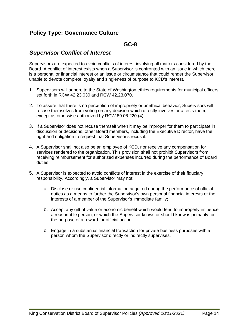### **GC-8**

### *Supervisor Conflict of Interest*

Supervisors are expected to avoid conflicts of interest involving all matters considered by the Board. A conflict of interest exists when a Supervisor is confronted with an issue in which there is a personal or financial interest or an issue or circumstance that could render the Supervisor unable to devote complete loyalty and singleness of purpose to KCD's interest.

- 1. Supervisors will adhere to the State of Washington ethics requirements for municipal officers set forth in RCW 42.23.030 and RCW 42.23.070.
- 2. To assure that there is no perception of impropriety or unethical behavior, Supervisors will recuse themselves from voting on any decision which directly involves or affects them, except as otherwise authorized by RCW 89.08.220 (4).
- 3. If a Supervisor does not recuse themself when it may be improper for them to participate in discussion or decisions, other Board members, including the Executive Director, have the right and obligation to request that Supervisor's recusal.
- 4. A Supervisor shall not also be an employee of KCD, nor receive any compensation for services rendered to the organization. This provision shall not prohibit Supervisors from receiving reimbursement for authorized expenses incurred during the performance of Board duties.
- 5. A Supervisor is expected to avoid conflicts of interest in the exercise of their fiduciary responsibility. Accordingly, a Supervisor may not:
	- a. Disclose or use confidential information acquired during the performance of official duties as a means to further the Supervisor's own personal financial interests or the interests of a member of the Supervisor's immediate family;
	- b. Accept any gift of value or economic benefit which would tend to improperly influence a reasonable person, or which the Supervisor knows or should know is primarily for the purpose of a reward for official action;
	- c. Engage in a substantial financial transaction for private business purposes with a person whom the Supervisor directly or indirectly supervises.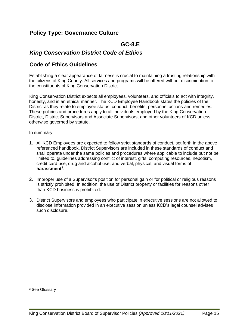### **GC-8.E**

### *King Conservation District Code of Ethics*

### **Code of Ethics Guidelines**

Establishing a clear appearance of fairness is crucial to maintaining a trusting relationship with the citizens of King County. All services and programs will be offered without discrimination to the constituents of King Conservation District.

King Conservation District expects all employees, volunteers, and officials to act with integrity, honesty, and in an ethical manner. The KCD Employee Handbook states the policies of the District as they relate to employee status, conduct, benefits, personnel actions and remedies. These policies and procedures apply to all individuals employed by the King Conservation District, District Supervisors and Associate Supervisors, and other volunteers of KCD unless otherwise governed by statute.

#### In summary:

- 1. All KCD Employees are expected to follow strict standards of conduct, set forth in the above referenced handbook. District Supervisors are included in these standards of conduct and shall operate under the same policies and procedures where applicable to include but not be limited to, guidelines addressing conflict of interest, gifts, computing resources, nepotism, credit card use, drug and alcohol use, and verbal, physical, and visual forms of **harassment<sup>3</sup>** .
- 2. Improper use of a Supervisor's position for personal gain or for political or religious reasons is strictly prohibited. In addition, the use of District property or facilities for reasons other than KCD business is prohibited.
- 3. District Supervisors and employees who participate in executive sessions are not allowed to disclose information provided in an executive session unless KCD's legal counsel advises such disclosure.

<sup>3</sup> See Glossary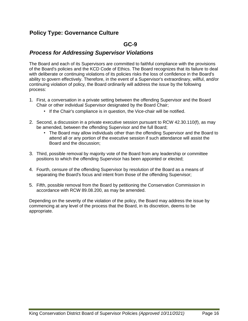### **GC-9**

### *Process for Addressing Supervisor Violations*

The Board and each of its Supervisors are committed to faithful compliance with the provisions of the Board's policies and the KCD Code of Ethics. The Board recognizes that its failure to deal with deliberate or continuing violations of its policies risks the loss of confidence in the Board's ability to govern effectively. Therefore, in the event of a Supervisor's extraordinary, willful, and/or continuing violation of policy, the Board ordinarily will address the issue by the following process:

- 1. First, a conversation in a private setting between the offending Supervisor and the Board Chair or other individual Supervisor designated by the Board Chair;
	- If the Chair's compliance is in question, the Vice-chair will be notified.
- 2. Second, a discussion in a private executive session pursuant to RCW 42.30.110(f), as may be amended, between the offending Supervisor and the full Board;
	- The Board may allow individuals other than the offending Supervisor and the Board to attend all or any portion of the executive session if such attendance will assist the Board and the discussion;
- 3. Third, possible removal by majority vote of the Board from any leadership or committee positions to which the offending Supervisor has been appointed or elected;
- 4. Fourth, censure of the offending Supervisor by resolution of the Board as a means of separating the Board's focus and intent from those of the offending Supervisor;
- 5. Fifth, possible removal from the Board by petitioning the Conservation Commission in accordance with RCW 89.08.200, as may be amended.

Depending on the severity of the violation of the policy, the Board may address the issue by commencing at any level of the process that the Board, in its discretion, deems to be appropriate.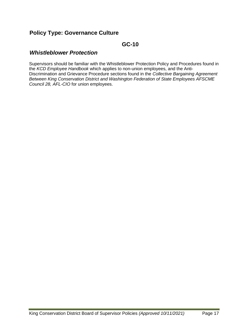### **GC-10**

### *Whistleblower Protection*

Supervisors should be familiar with the Whistleblower Protection Policy and Procedures found in the *KCD Employee Handbook* which applies to non-union employees, and the Anti-Discrimination and Grievance Procedure sections found in the *Collective Bargaining Agreement Between King Conservation District and Washington Federation of State Employees AFSCME Council 28, AFL-CIO* for union employees.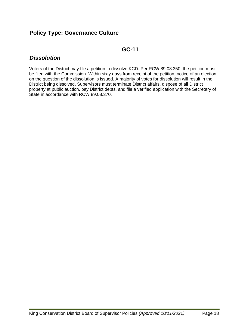# **GC-11**

### *Dissolution*

Voters of the District may file a petition to dissolve KCD. Per RCW 89.08.350, the petition must be filed with the Commission. Within sixty days from receipt of the petition, notice of an election on the question of the dissolution is issued. A majority of votes for dissolution will result in the District being dissolved. Supervisors must terminate District affairs, dispose of all District property at public auction, pay District debts, and file a verified application with the Secretary of State in accordance with RCW 89.08.370.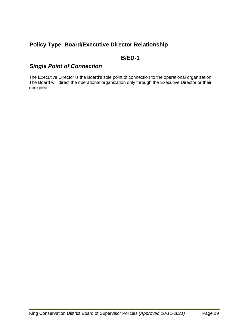# **B/ED-1**

# *Single Point of Connection*

The Executive Director is the Board's sole point of connection to the operational organization. The Board will direct the operational organization only through the Executive Director or their designee.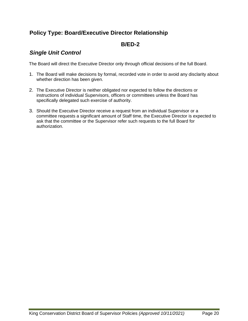# **B/ED-2**

### *Single Unit Control*

The Board will direct the Executive Director only through official decisions of the full Board.

- 1. The Board will make decisions by formal, recorded vote in order to avoid any disclarity about whether direction has been given.
- 2. The Executive Director is neither obligated nor expected to follow the directions or instructions of individual Supervisors, officers or committees unless the Board has specifically delegated such exercise of authority.
- 3. Should the Executive Director receive a request from an individual Supervisor or a committee requests a significant amount of Staff time, the Executive Director is expected to ask that the committee or the Supervisor refer such requests to the full Board for authorization.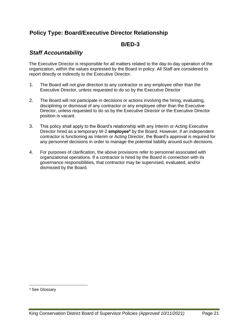### **B/ED-3**

# *Staff Accountability*

The Executive Director is responsible for all matters related to the day-to-day operation of the organization, within the values expressed by the Board in policy. All Staff are considered to report directly or indirectly to the Executive Director.

- 1. The Board will not give direction to any contractor or any employee other than the Executive Director, unless requested to do so by the Executive Director
- 2. The Board will not participate in decisions or actions involving the hiring, evaluating, disciplining or dismissal of any contractor or any employee other than the Executive Director, unless requested to do so by the Executive Director or the Executive Director position is vacant.
- 3. This policy shall apply to the Board's relationship with any Interim or Acting Executive Director hired as a temporary W-2 **employee<sup>4</sup>** by the Board. However, if an independent contractor is functioning as Interim or Acting Director, the Board's approval is required for any personnel decisions in order to manage the potential liability around such decisions.
- 4. For purposes of clarification, the above provisions refer to personnel associated with organizational operations. If a contractor is hired by the Board in connection with its governance responsibilities, that contractor may be supervised, evaluated, and/or dismissed by the Board.

<sup>4</sup> See Glossary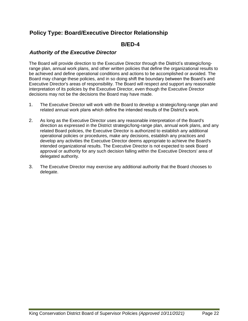### **B/ED-4**

### *Authority of the Executive Director*

The Board will provide direction to the Executive Director through the District's strategic/longrange plan, annual work plans, and other written policies that define the organizational results to be achieved and define operational conditions and actions to be accomplished or avoided. The Board may change these policies, and in so doing shift the boundary between the Board's and Executive Director's areas of responsibility. The Board will respect and support any reasonable interpretation of its policies by the Executive Director, even though the Executive Director decisions may not be the decisions the Board may have made.

- 1. The Executive Director will work with the Board to develop a strategic/long-range plan and related annual work plans which define the intended results of the District's work.
- 2. As long as the Executive Director uses any reasonable interpretation of the Board's direction as expressed in the District strategic/long-range plan, annual work plans, and any related Board policies, the Executive Director is authorized to establish any additional operational policies or procedures, make any decisions, establish any practices and develop any activities the Executive Director deems appropriate to achieve the Board's intended organizational results. The Executive Director is not expected to seek Board approval or authority for any such decision falling within the Executive Directors' area of delegated authority.
- 3. The Executive Director may exercise any additional authority that the Board chooses to delegate.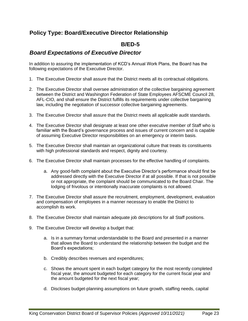# **B/ED-5**

### *Board Expectations of Executive Director*

In addition to assuring the implementation of KCD's Annual Work Plans, the Board has the following expectations of the Executive Director.

- 1. The Executive Director shall assure that the District meets all its contractual obligations.
- 2. The Executive Director shall oversee administration of the collective bargaining agreement between the District and Washington Federation of State Employees AFSCME Council 28, AFL-CIO, and shall ensure the District fulfills its requirements under collective bargaining law, including the negotiation of successor collective bargaining agreements.
- 3. The Executive Director shall assure that the District meets all applicable audit standards.
- 4. The Executive Director shall designate at least one other executive member of Staff who is familiar with the Board's governance process and issues of current concern and is capable of assuming Executive Director responsibilities on an emergency or interim basis.
- 5. The Executive Director shall maintain an organizational culture that treats its constituents with high professional standards and respect, dignity and courtesy.
- 6. The Executive Director shall maintain processes for the effective handling of complaints.
	- a. Any good-faith complaint about the Executive Director's performance should first be addressed directly with the Executive Director if at all possible. If that is not possible or not appropriate, the complaint should be communicated to the Board Chair. The lodging of frivolous or intentionally inaccurate complaints is not allowed.
- 7. The Executive Director shall assure the recruitment, employment, development, evaluation and compensation of employees in a manner necessary to enable the District to accomplish its work.
- 8. The Executive Director shall maintain adequate job descriptions for all Staff positions.
- 9. The Executive Director will develop a budget that:
	- a. Is in a summary format understandable to the Board and presented in a manner that allows the Board to understand the relationship between the budget and the Board's expectations;
	- b. Credibly describes revenues and expenditures;
	- c. Shows the amount spent in each budget category for the most recently completed fiscal year, the amount budgeted for each category for the current fiscal year and the amount budgeted for the next fiscal year;
	- d. Discloses budget-planning assumptions on future growth, staffing needs, capital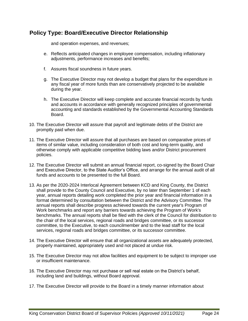and operation expenses, and revenues;

- e. Reflects anticipated changes in employee compensation, including inflationary adjustments, performance increases and benefits;
- f. Assures fiscal soundness in future years.
- g. The Executive Director may not develop a budget that plans for the expenditure in any fiscal year of more funds than are conservatively projected to be available during the year.
- h. The Executive Director will keep complete and accurate financial records by funds and accounts in accordance with generally recognized principles of governmental accounting and standards established by the Governmental Accounting Standards Board.
- 10. The Executive Director will assure that payroll and legitimate debts of the District are promptly paid when due.
- 11. The Executive Director will assure that all purchases are based on comparative prices of items of similar value, including consideration of both cost and long-term quality, and otherwise comply with applicable competitive bidding laws and/or District procurement policies.
- 12. The Executive Director will submit an annual financial report, co-signed by the Board Chair and Executive Director, to the State Auditor's Office, and arrange for the annual audit of all funds and accounts to be presented to the full Board.
- 13. As per the 2020-2024 Interlocal Agreement between KCD and King County, the District shall provide to the County Council and Executive, by no later than September 1 of each year, annual reports detailing work completed the prior year and financial information in a format determined by consultation between the District and the Advisory Committee. The annual reports shall describe progress achieved towards the current year's Program of Work benchmarks and report any barriers towards achieving the Program of Work's benchmarks. The annual reports shall be filed with the clerk of the Council for distribution to the chair of the local services, regional roads and bridges committee, or its successor committee, to the Executive, to each councilmember and to the lead staff for the local services, regional roads and bridges committee, or its successor committee.
- 14. The Executive Director will ensure that all organizational assets are adequately protected, properly maintained, appropriately used and not placed at undue risk.
- 15. The Executive Director may not allow facilities and equipment to be subject to improper use or insufficient maintenance.
- 16. The Executive Director may not purchase or sell real estate on the District's behalf, including land and buildings, without Board approval.
- 17. The Executive Director will provide to the Board in a timely manner information about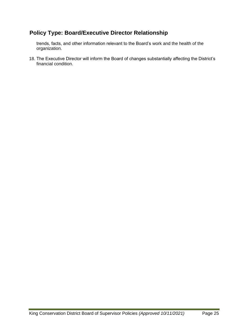trends, facts, and other information relevant to the Board's work and the health of the organization.

18. The Executive Director will inform the Board of changes substantially affecting the District's financial condition.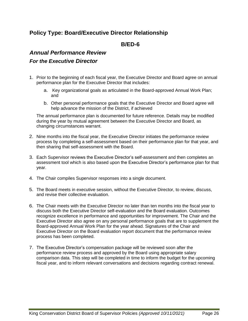### **B/ED-6**

### *Annual Performance Review*

### *For the Executive Director*

- 1. Prior to the beginning of each fiscal year, the Executive Director and Board agree on annual performance plan for the Executive Director that includes:
	- a. Key organizational goals as articulated in the Board-approved Annual Work Plan; and
	- b. Other personal performance goals that the Executive Director and Board agree will help advance the mission of the District, if achieved

The annual performance plan is documented for future reference. Details may be modified during the year by mutual agreement between the Executive Director and Board, as changing circumstances warrant.

- 2. Nine months into the fiscal year, the Executive Director initiates the performance review process by completing a self-assessment based on their performance plan for that year, and then sharing that self-assessment with the Board.
- 3. Each Supervisor reviews the Executive Director's self-assessment and then completes an assessment tool which is also based upon the Executive Director's performance plan for that year.
- 4. The Chair compiles Supervisor responses into a single document.
- 5. The Board meets in executive session, without the Executive Director, to review, discuss, and revise their collective evaluation.
- 6. The Chair meets with the Executive Director no later than ten months into the fiscal year to discuss both the Executive Director self-evaluation and the Board evaluation. Outcomes recognize excellence in performance and opportunities for improvement. The Chair and the Executive Director also agree on any personal performance goals that are to supplement the Board-approved Annual Work Plan for the year ahead. Signatures of the Chair and Executive Director on the Board evaluation report document that the performance review process has been completed.
- 7. The Executive Director's compensation package will be reviewed soon after the performance review process and approved by the Board using appropriate salary comparison data. This step will be completed in time to inform the budget for the upcoming fiscal year, and to inform relevant conversations and decisions regarding contract renewal.